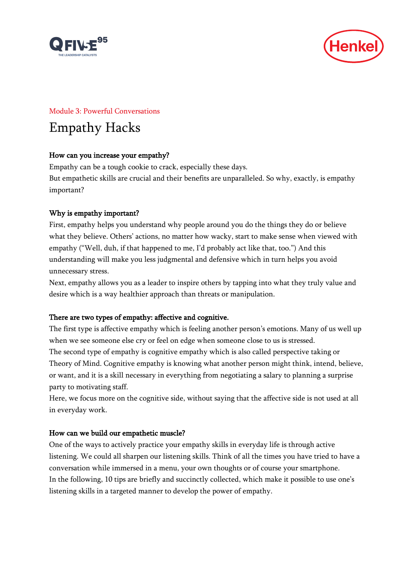



#### Module 3: Powerful Conversations

# Empathy Hacks

## How can you increase your empathy?

Empathy can be a tough cookie to crack, especially these days. But empathetic skills are crucial and their benefits are unparalleled. So why, exactly, is empathy important?

## Why is empathy important?

First, empathy helps you understand why people around you do the things they do or believe what they believe. Others' actions, no matter how wacky, start to make sense when viewed with empathy ("Well, duh, if that happened to me, I'd probably act like that, too.") And this understanding will make you less judgmental and defensive which in turn helps you avoid unnecessary stress.

Next, empathy allows you as a leader to inspire others by tapping into what they truly value and desire which is a way healthier approach than threats or manipulation.

## There are two types of empathy: affective and cognitive.

The first type is affective empathy which is feeling another person's emotions. Many of us well up when we see someone else cry or feel on edge when someone close to us is stressed.

The second type of empathy is cognitive empathy which is also called perspective taking or Theory of Mind. Cognitive empathy is knowing what another person might think, intend, believe, or want, and it is a skill necessary in everything from negotiating a salary to planning a surprise party to motivating staff.

Here, we focus more on the cognitive side, without saying that the affective side is not used at all in everyday work.

## How can we build our empathetic muscle?

One of the ways to actively practice your empathy skills in everyday life is through active listening. We could all sharpen our listening skills. Think of all the times you have tried to have a conversation while immersed in a menu, your own thoughts or of course your smartphone. In the following, 10 tips are briefly and succinctly collected, which make it possible to use one's listening skills in a targeted manner to develop the power of empathy.